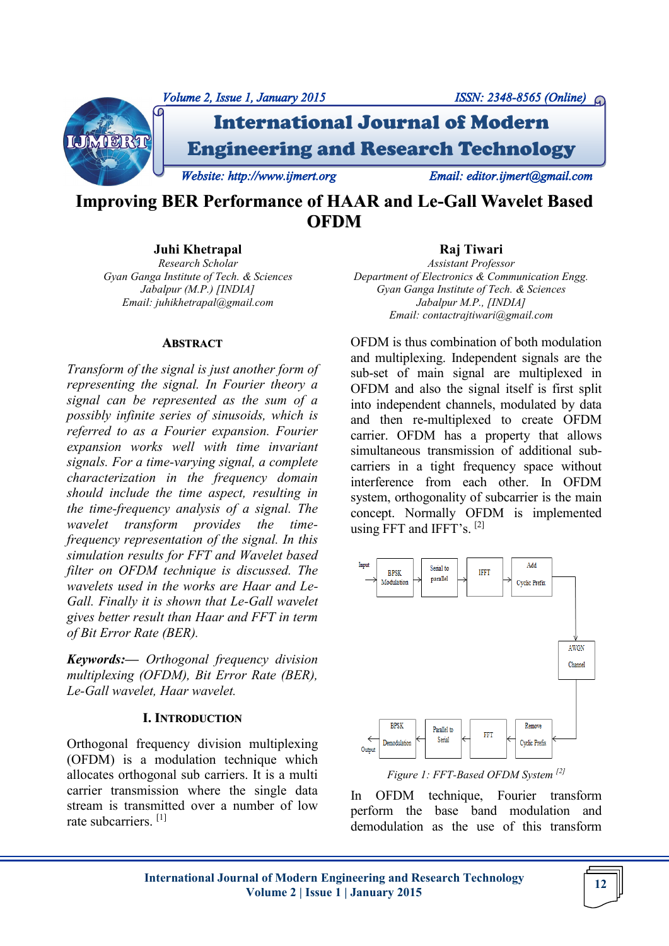

# **Improving BER Performance of HAAR and Le-Gall Wavelet Based OFDM**

**Juhi Khetrapal**

*Research Scholar Gyan Ganga Institute of Tech. & Sciences Jabalpur (M.P.) [INDIA] Email: juhikhetrapal@gmail.com*

#### **ABSTRACT**

*Transform of the signal is just another form of representing the signal. In Fourier theory a signal can be represented as the sum of a possibly infinite series of sinusoids, which is referred to as a Fourier expansion. Fourier expansion works well with time invariant signals. For a time-varying signal, a complete characterization in the frequency domain should include the time aspect, resulting in the time-frequency analysis of a signal. The wavelet transform provides the timefrequency representation of the signal. In this simulation results for FFT and Wavelet based filter on OFDM technique is discussed. The wavelets used in the works are Haar and Le-Gall. Finally it is shown that Le-Gall wavelet gives better result than Haar and FFT in term of Bit Error Rate (BER).*

*Keywords:— Orthogonal frequency division multiplexing (OFDM), Bit Error Rate (BER), Le-Gall wavelet, Haar wavelet.*

# **I. INTRODUCTION**

Orthogonal frequency division multiplexing (OFDM) is a modulation technique which allocates orthogonal sub carriers. It is a multi carrier transmission where the single data stream is transmitted over a number of low rate subcarriers. [1]

# **Raj Tiwari**

*Assistant Professor Department of Electronics & Communication Engg. Gyan Ganga Institute of Tech. & Sciences Jabalpur M.P., [INDIA] Email: contactrajtiwari@gmail.com*

OFDM is thus combination of both modulation and multiplexing. Independent signals are the sub-set of main signal are multiplexed in OFDM and also the signal itself is first split into independent channels, modulated by data and then re-multiplexed to create OFDM carrier. OFDM has a property that allows simultaneous transmission of additional subcarriers in a tight frequency space without interference from each other. In OFDM system, orthogonality of subcarrier is the main concept. Normally OFDM is implemented using FFT and IFFT's.  $[2]$ 



*Figure 1: FFT-Based OFDM System [2]*

In OFDM technique, Fourier transform perform the base band modulation and demodulation as the use of this transform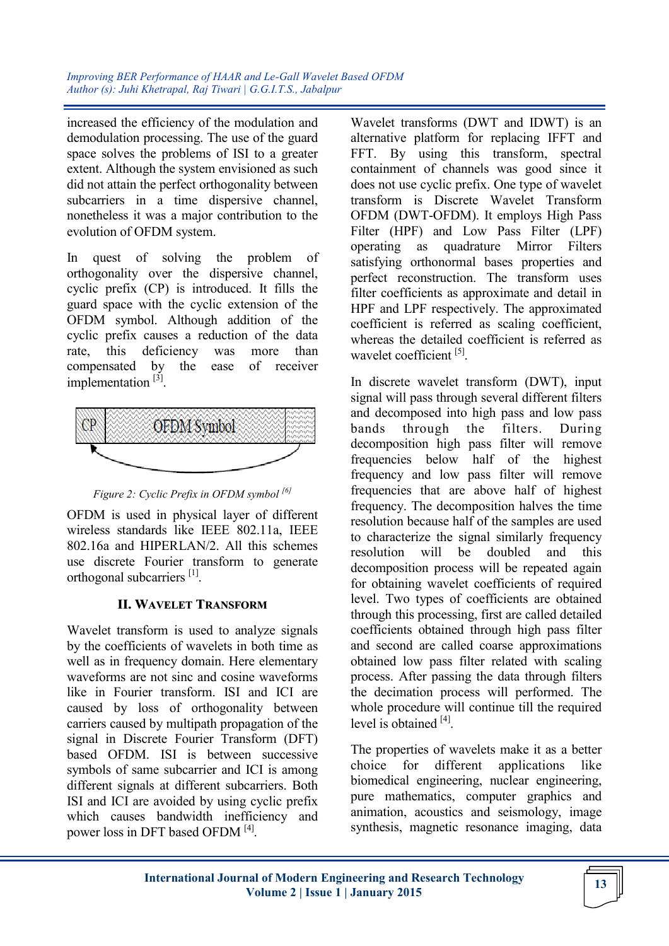*Improving BER Performance of HAAR and Le-Gall Wavelet Based OFDM Author (s): Juhi Khetrapal, Raj Tiwari | G.G.I.T.S., Jabalpur*

increased the efficiency of the modulation and demodulation processing. The use of the guard space solves the problems of ISI to a greater extent. Although the system envisioned as such did not attain the perfect orthogonality between subcarriers in a time dispersive channel, nonetheless it was a major contribution to the evolution of OFDM system.

In quest of solving the problem of orthogonality over the dispersive channel, cyclic prefix (CP) is introduced. It fills the guard space with the cyclic extension of the OFDM symbol. Although addition of the cyclic prefix causes a reduction of the data rate, this deficiency was more than compensated by the ease of receiver implementation<sup>[3]</sup>.





OFDM is used in physical layer of different wireless standards like IEEE 802.11a, IEEE 802.16a and HIPERLAN/2. All this schemes use discrete Fourier transform to generate orthogonal subcarriers<sup>[1]</sup>.

# **II. WAVELET TRANSFORM**

Wavelet transform is used to analyze signals by the coefficients of wavelets in both time as well as in frequency domain. Here elementary waveforms are not sinc and cosine waveforms like in Fourier transform. ISI and ICI are caused by loss of orthogonality between carriers caused by multipath propagation of the signal in Discrete Fourier Transform (DFT) based OFDM. ISI is between successive symbols of same subcarrier and ICI is among different signals at different subcarriers. Both ISI and ICI are avoided by using cyclic prefix which causes bandwidth inefficiency and power loss in DFT based OFDM<sup>[4]</sup>.

Wavelet transforms (DWT and IDWT) is an alternative platform for replacing IFFT and FFT. By using this transform, spectral containment of channels was good since it does not use cyclic prefix. One type of wavelet transform is Discrete Wavelet Transform OFDM (DWT-OFDM). It employs High Pass Filter (HPF) and Low Pass Filter (LPF) operating as quadrature Mirror Filters satisfying orthonormal bases properties and perfect reconstruction. The transform uses filter coefficients as approximate and detail in HPF and LPF respectively. The approximated coefficient is referred as scaling coefficient, whereas the detailed coefficient is referred as wavelet coefficient<sup>[5]</sup>.

In discrete wavelet transform (DWT), input signal will pass through several different filters and decomposed into high pass and low pass bands through the filters. During decomposition high pass filter will remove frequencies below half of the highest frequency and low pass filter will remove frequencies that are above half of highest frequency. The decomposition halves the time resolution because half of the samples are used to characterize the signal similarly frequency resolution will be doubled and this decomposition process will be repeated again for obtaining wavelet coefficients of required level. Two types of coefficients are obtained through this processing, first are called detailed coefficients obtained through high pass filter and second are called coarse approximations obtained low pass filter related with scaling process. After passing the data through filters the decimation process will performed. The whole procedure will continue till the required level is obtained [4].

The properties of wavelets make it as a better choice for different applications like biomedical engineering, nuclear engineering, pure mathematics, computer graphics and animation, acoustics and seismology, image synthesis, magnetic resonance imaging, data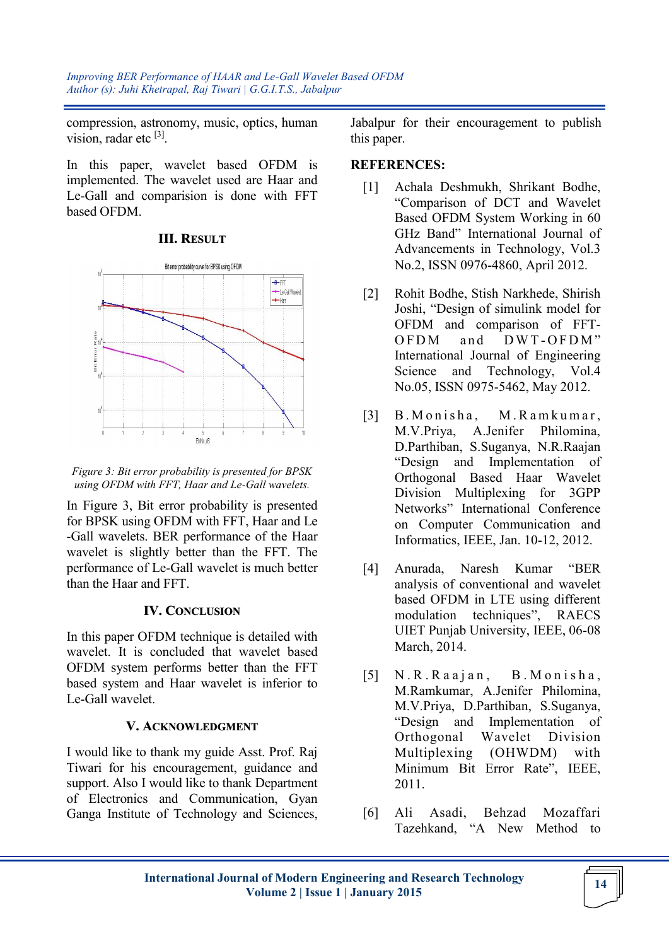*Improving BER Performance of HAAR and Le-Gall Wavelet Based OFDM Author (s): Juhi Khetrapal, Raj Tiwari | G.G.I.T.S., Jabalpur*

compression, astronomy, music, optics, human vision, radar etc <sup>[3]</sup>.

In this paper, wavelet based OFDM is implemented. The wavelet used are Haar and Le-Gall and comparision is done with FFT based OFDM.

### **III. RESULT**



*Figure 3: Bit error probability is presented for BPSK using OFDM with FFT, Haar and Le-Gall wavelets.*

In Figure 3, Bit error probability is presented for BPSK using OFDM with FFT, Haar and Le -Gall wavelets. BER performance of the Haar wavelet is slightly better than the FFT. The performance of Le-Gall wavelet is much better than the Haar and FFT.

#### **IV. CONCLUSION**

In this paper OFDM technique is detailed with wavelet. It is concluded that wavelet based OFDM system performs better than the FFT based system and Haar wavelet is inferior to Le-Gall wavelet.

## **V. ACKNOWLEDGMENT**

I would like to thank my guide Asst. Prof. Raj Tiwari for his encouragement, guidance and support. Also I would like to thank Department of Electronics and Communication, Gyan Ganga Institute of Technology and Sciences,

Jabalpur for their encouragement to publish this paper.

## **REFERENCES:**

- [1] Achala Deshmukh, Shrikant Bodhe, "Comparison of DCT and Wavelet Based OFDM System Working in 60 GHz Band" International Journal of Advancements in Technology, Vol.3 No.2, ISSN 0976-4860, April 2012.
- [2] Rohit Bodhe, Stish Narkhede, Shirish Joshi, "Design of simulink model for OFDM and comparison of FFT-OFDM and DWT-OFDM" International Journal of Engineering Science and Technology, Vol.4 No.05, ISSN 0975-5462, May 2012.
- [3] B. Monisha, M. Ramkumar, M.V.Priya, A.Jenifer Philomina, D.Parthiban, S.Suganya, N.R.Raajan "Design and Implementation of Orthogonal Based Haar Wavelet Division Multiplexing for 3GPP Networks" International Conference on Computer Communication and Informatics, IEEE, Jan. 10-12, 2012.
- [4] Anurada, Naresh Kumar "BER analysis of conventional and wavelet based OFDM in LTE using different modulation techniques", RAECS UIET Punjab University, IEEE, 06-08 March, 2014.
- [5] N.R.Raajan, B.Monisha, M.Ramkumar, A.Jenifer Philomina, M.V.Priya, D.Parthiban, S.Suganya, "Design and Implementation of Orthogonal Wavelet Division Multiplexing (OHWDM) with Minimum Bit Error Rate", IEEE, 2011.
- [6] Ali Asadi, Behzad Mozaffari Tazehkand, "A New Method to